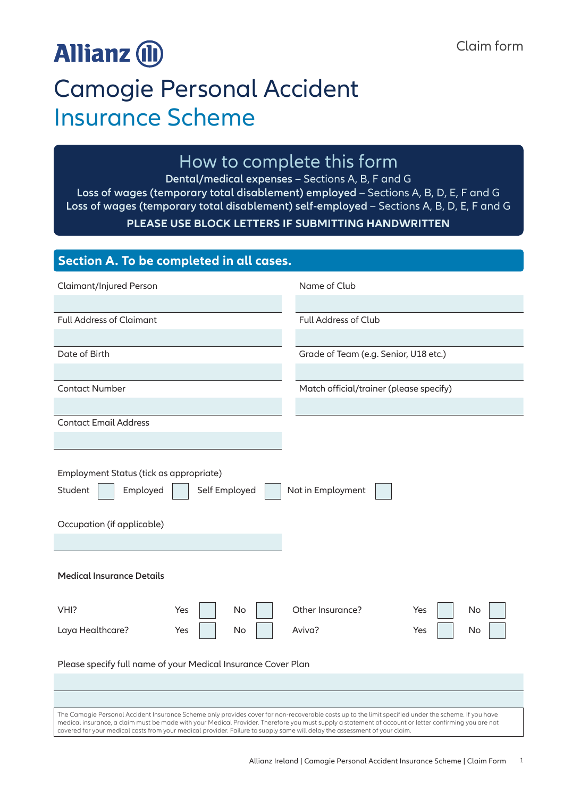# **Allianz (II)**

## Camogie Personal Accident Insurance Scheme

## How to complete this form

**Dental/medical expenses** – Sections A, B, F and G **Loss of wages (temporary total disablement) employed** – Sections A, B, D, E, F and G **Loss of wages (temporary total disablement) self-employed** – Sections A, B, D, E, F and G **PLEASE USE BLOCK LETTERS IF SUBMITTING HANDWRITTEN**

| Section A. To be completed in all cases.                                                                                                                                                                                                                                                                                                                                                                                                    |               |    |                                         |     |    |
|---------------------------------------------------------------------------------------------------------------------------------------------------------------------------------------------------------------------------------------------------------------------------------------------------------------------------------------------------------------------------------------------------------------------------------------------|---------------|----|-----------------------------------------|-----|----|
| Claimant/Injured Person                                                                                                                                                                                                                                                                                                                                                                                                                     |               |    | Name of Club                            |     |    |
|                                                                                                                                                                                                                                                                                                                                                                                                                                             |               |    |                                         |     |    |
| <b>Full Address of Claimant</b>                                                                                                                                                                                                                                                                                                                                                                                                             |               |    | Full Address of Club                    |     |    |
|                                                                                                                                                                                                                                                                                                                                                                                                                                             |               |    |                                         |     |    |
| Date of Birth                                                                                                                                                                                                                                                                                                                                                                                                                               |               |    | Grade of Team (e.g. Senior, U18 etc.)   |     |    |
|                                                                                                                                                                                                                                                                                                                                                                                                                                             |               |    |                                         |     |    |
| <b>Contact Number</b>                                                                                                                                                                                                                                                                                                                                                                                                                       |               |    | Match official/trainer (please specify) |     |    |
|                                                                                                                                                                                                                                                                                                                                                                                                                                             |               |    |                                         |     |    |
| <b>Contact Email Address</b>                                                                                                                                                                                                                                                                                                                                                                                                                |               |    |                                         |     |    |
|                                                                                                                                                                                                                                                                                                                                                                                                                                             |               |    |                                         |     |    |
| Employment Status (tick as appropriate)<br>Employed<br>Student<br>Occupation (if applicable)<br><b>Medical Insurance Details</b>                                                                                                                                                                                                                                                                                                            | Self Employed |    | Not in Employment                       |     |    |
|                                                                                                                                                                                                                                                                                                                                                                                                                                             |               |    |                                         |     |    |
| VHI?                                                                                                                                                                                                                                                                                                                                                                                                                                        | Yes           | No | Other Insurance?                        | Yes | No |
| Laya Healthcare?                                                                                                                                                                                                                                                                                                                                                                                                                            | Yes           | No | Aviva?                                  | Yes | No |
| Please specify full name of your Medical Insurance Cover Plan                                                                                                                                                                                                                                                                                                                                                                               |               |    |                                         |     |    |
| The Camogie Personal Accident Insurance Scheme only provides cover for non-recoverable costs up to the limit specified under the scheme. If you have<br>medical insurance, a claim must be made with your Medical Provider. Therefore you must supply a statement of account or letter confirming you are not<br>covered for your medical costs from your medical provider. Failure to supply same will delay the assessment of your claim. |               |    |                                         |     |    |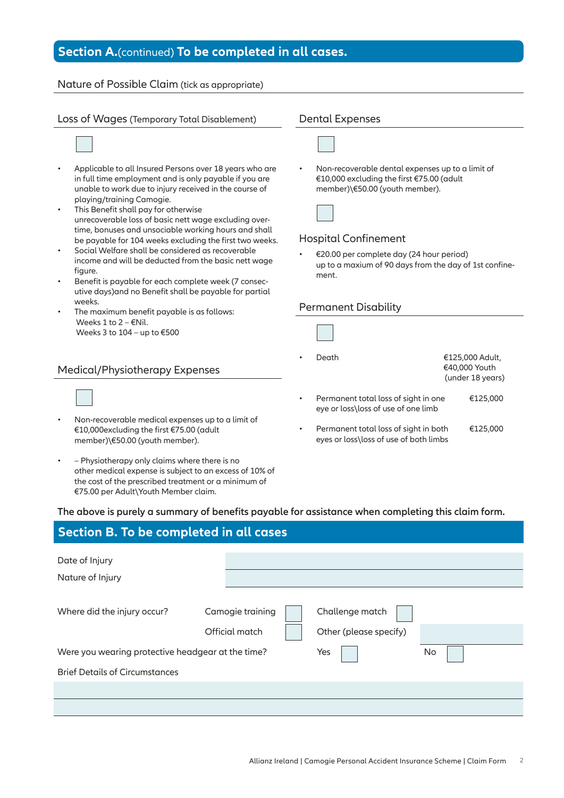### **Section A.**(continued) **To be completed in all cases.**

### Nature of Possible Claim (tick as appropriate)



- Applicable to all Insured Persons over 18 years who are in full time employment and is only payable if you are unable to work due to injury received in the course of playing/training Camogie.
- This Benefit shall pay for otherwise unrecoverable loss of basic nett wage excluding overtime, bonuses and unsociable working hours and shall be payable for 104 weeks excluding the first two weeks.
- Social Welfare shall be considered as recoverable income and will be deducted from the basic nett wage figure.
- Benefit is payable for each complete week (7 consecutive days)and no Benefit shall be payable for partial weeks.
- The maximum benefit payable is as follows: Weeks 1 to  $2 - \epsilon$ Nil. Weeks 3 to  $104 -$ up to  $€500$

#### Medical/Physiotherapy Expenses

- Non-recoverable medical expenses up to a limit of €10,000excluding the first €75.00 (adult member)\€50.00 (youth member).
- – Physiotherapy only claims where there is no other medical expense is subject to an excess of 10% of the cost of the prescribed treatment or a minimum of €75.00 per Adult\Youth Member claim.

• Non-recoverable dental expenses up to a limit of €10,000 excluding the first €75.00 (adult member)\€50.00 (youth member).



#### Hospital Confinement

• €20.00 per complete day (24 hour period) up to a maxium of 90 days from the day of 1st confinement.

#### Permanent Disability



• Permanent total loss of sight in both €125,000 eyes or loss\loss of use of both limbs

#### **The above is purely a summary of benefits payable for assistance when completing this claim form.**

| Section B. To be completed in all cases           |                                    |                                           |    |  |  |  |  |
|---------------------------------------------------|------------------------------------|-------------------------------------------|----|--|--|--|--|
| Date of Injury<br>Nature of Injury                |                                    |                                           |    |  |  |  |  |
| Where did the injury occur?                       | Camogie training<br>Official match | Challenge match<br>Other (please specify) |    |  |  |  |  |
| Were you wearing protective headgear at the time? |                                    | Yes                                       | No |  |  |  |  |
| <b>Brief Details of Circumstances</b>             |                                    |                                           |    |  |  |  |  |
|                                                   |                                    |                                           |    |  |  |  |  |
|                                                   |                                    |                                           |    |  |  |  |  |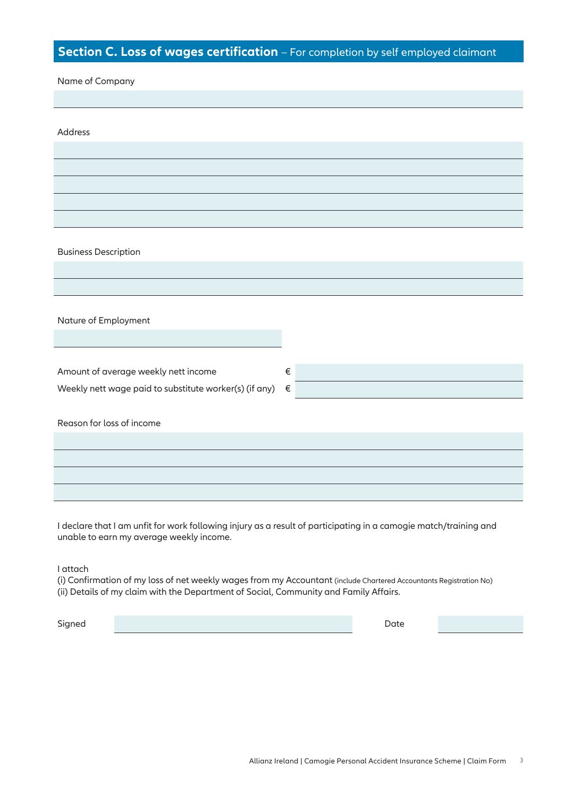### **Section C. Loss of wages certification** – For completion by self employed claimant

| Name of Company                                        |       |
|--------------------------------------------------------|-------|
|                                                        |       |
|                                                        |       |
|                                                        |       |
| Address                                                |       |
|                                                        |       |
|                                                        |       |
|                                                        |       |
|                                                        |       |
|                                                        |       |
|                                                        |       |
|                                                        |       |
|                                                        |       |
| <b>Business Description</b>                            |       |
|                                                        |       |
|                                                        |       |
|                                                        |       |
|                                                        |       |
|                                                        |       |
| Nature of Employment                                   |       |
|                                                        |       |
|                                                        |       |
|                                                        |       |
| Amount of average weekly nett income                   | $\in$ |
| Weekly nett wage paid to substitute worker(s) (if any) | $\in$ |
|                                                        |       |
|                                                        |       |
| Reason for loss of income                              |       |
|                                                        |       |
|                                                        |       |
|                                                        |       |
|                                                        |       |
|                                                        |       |

I declare that I am unfit for work following injury as a result of participating in a camogie match/training and unable to earn my average weekly income.

I attach

(i) Confirmation of my loss of net weekly wages from my Accountant (include Chartered Accountants Registration No) (ii) Details of my claim with the Department of Social, Community and Family Affairs.

Signed Date (2001) and the state of the state of the state of the state of the Date of the Date of the Date of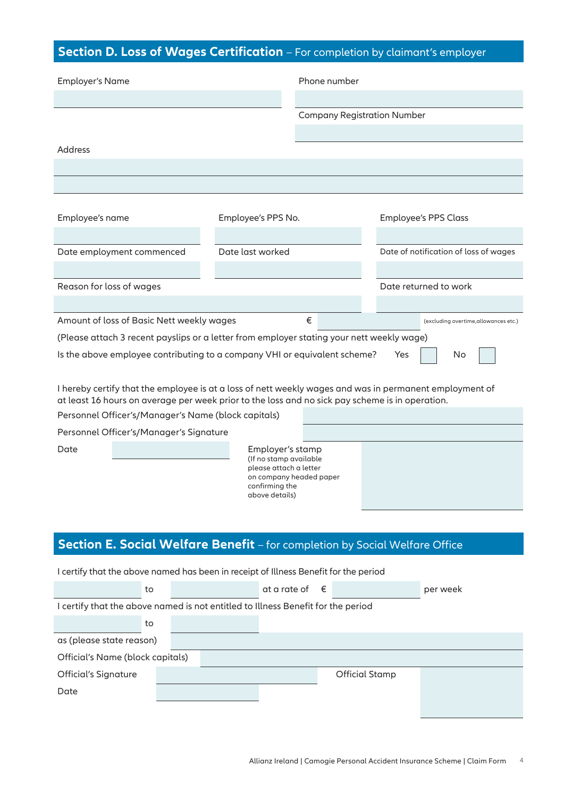### **Section D. Loss of Wages Certification** – For completion by claimant's employer

| <b>Employer's Name</b>                                                                                  |                                                  | Phone number                       |     |                                       |  |
|---------------------------------------------------------------------------------------------------------|--------------------------------------------------|------------------------------------|-----|---------------------------------------|--|
|                                                                                                         |                                                  |                                    |     |                                       |  |
|                                                                                                         |                                                  | <b>Company Registration Number</b> |     |                                       |  |
|                                                                                                         |                                                  |                                    |     |                                       |  |
| Address                                                                                                 |                                                  |                                    |     |                                       |  |
|                                                                                                         |                                                  |                                    |     |                                       |  |
|                                                                                                         |                                                  |                                    |     |                                       |  |
|                                                                                                         |                                                  |                                    |     |                                       |  |
| Employee's name                                                                                         | Employee's PPS No.                               |                                    |     | <b>Employee's PPS Class</b>           |  |
|                                                                                                         |                                                  |                                    |     |                                       |  |
| Date employment commenced                                                                               | Date last worked                                 |                                    |     | Date of notification of loss of wages |  |
|                                                                                                         |                                                  |                                    |     |                                       |  |
| Reason for loss of wages                                                                                |                                                  |                                    |     | Date returned to work                 |  |
| Amount of loss of Basic Nett weekly wages                                                               |                                                  | €                                  |     |                                       |  |
|                                                                                                         |                                                  |                                    |     | (excluding overtime, allowances etc.) |  |
| (Please attach 3 recent payslips or a letter from employer stating your nett weekly wage)               |                                                  |                                    |     |                                       |  |
| Is the above employee contributing to a company VHI or equivalent scheme?                               |                                                  |                                    | Yes | No                                    |  |
| I hereby certify that the employee is at a loss of nett weekly wages and was in permanent employment of |                                                  |                                    |     |                                       |  |
| at least 16 hours on average per week prior to the loss and no sick pay scheme is in operation.         |                                                  |                                    |     |                                       |  |
| Personnel Officer's/Manager's Name (block capitals)                                                     |                                                  |                                    |     |                                       |  |
| Personnel Officer's/Manager's Signature                                                                 |                                                  |                                    |     |                                       |  |
| Date                                                                                                    | Employer's stamp                                 |                                    |     |                                       |  |
|                                                                                                         | (If no stamp available<br>please attach a letter |                                    |     |                                       |  |
|                                                                                                         | confirming the                                   | on company headed paper            |     |                                       |  |
|                                                                                                         | above details)                                   |                                    |     |                                       |  |
|                                                                                                         |                                                  |                                    |     |                                       |  |
|                                                                                                         |                                                  |                                    |     |                                       |  |
| Section E. Social Welfare Benefit - for completion by Social Welfare Office                             |                                                  |                                    |     |                                       |  |

| I certify that the above named has been in receipt of Illness Benefit for the period |  |  |                         |  |                       |          |
|--------------------------------------------------------------------------------------|--|--|-------------------------|--|-----------------------|----------|
| to                                                                                   |  |  | at a rate of $\epsilon$ |  |                       | per week |
| I certify that the above named is not entitled to Illness Benefit for the period     |  |  |                         |  |                       |          |
| to                                                                                   |  |  |                         |  |                       |          |
| as (please state reason)                                                             |  |  |                         |  |                       |          |
| Official's Name (block capitals)                                                     |  |  |                         |  |                       |          |
| Official's Signature                                                                 |  |  |                         |  | <b>Official Stamp</b> |          |
| Date                                                                                 |  |  |                         |  |                       |          |
|                                                                                      |  |  |                         |  |                       |          |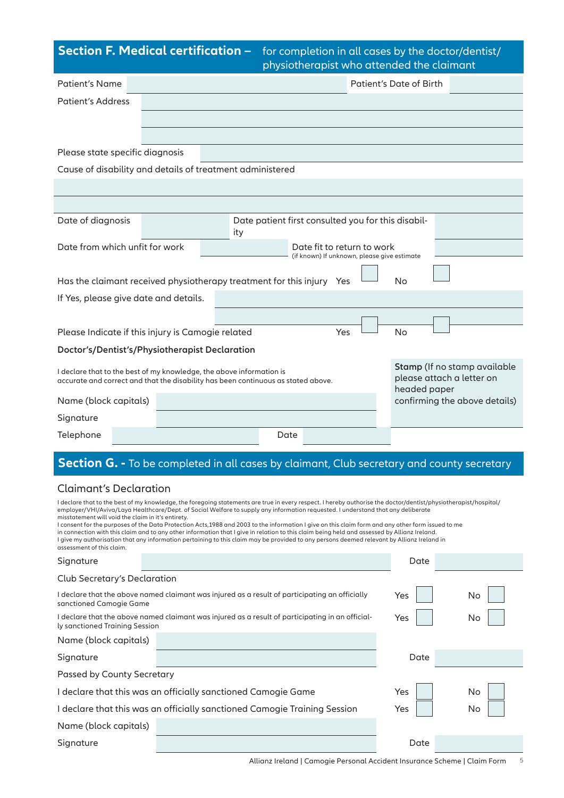### **Section F. Medical certification**

| <b>L CH UNICUTION –</b> for completion in our cases by the doctor/dentist/<br>physiotherapist who attended the claimant |                         |  |  |  |  |
|-------------------------------------------------------------------------------------------------------------------------|-------------------------|--|--|--|--|
|                                                                                                                         | Patient's Date of Birth |  |  |  |  |
|                                                                                                                         |                         |  |  |  |  |

| <b>Patient's Address</b>                                                                                                                                                                                                                                                                                                                                                                                                                                                                                                                                                                                                                                                                                                                                                                                                                  |  |                                                           |                                                                           |     |      |                                           |                               |
|-------------------------------------------------------------------------------------------------------------------------------------------------------------------------------------------------------------------------------------------------------------------------------------------------------------------------------------------------------------------------------------------------------------------------------------------------------------------------------------------------------------------------------------------------------------------------------------------------------------------------------------------------------------------------------------------------------------------------------------------------------------------------------------------------------------------------------------------|--|-----------------------------------------------------------|---------------------------------------------------------------------------|-----|------|-------------------------------------------|-------------------------------|
|                                                                                                                                                                                                                                                                                                                                                                                                                                                                                                                                                                                                                                                                                                                                                                                                                                           |  |                                                           |                                                                           |     |      |                                           |                               |
|                                                                                                                                                                                                                                                                                                                                                                                                                                                                                                                                                                                                                                                                                                                                                                                                                                           |  |                                                           |                                                                           |     |      |                                           |                               |
| Please state specific diagnosis                                                                                                                                                                                                                                                                                                                                                                                                                                                                                                                                                                                                                                                                                                                                                                                                           |  |                                                           |                                                                           |     |      |                                           |                               |
| Cause of disability and details of treatment administered                                                                                                                                                                                                                                                                                                                                                                                                                                                                                                                                                                                                                                                                                                                                                                                 |  |                                                           |                                                                           |     |      |                                           |                               |
|                                                                                                                                                                                                                                                                                                                                                                                                                                                                                                                                                                                                                                                                                                                                                                                                                                           |  |                                                           |                                                                           |     |      |                                           |                               |
|                                                                                                                                                                                                                                                                                                                                                                                                                                                                                                                                                                                                                                                                                                                                                                                                                                           |  |                                                           |                                                                           |     |      |                                           |                               |
| Date of diagnosis                                                                                                                                                                                                                                                                                                                                                                                                                                                                                                                                                                                                                                                                                                                                                                                                                         |  | Date patient first consulted you for this disabil-<br>ity |                                                                           |     |      |                                           |                               |
| Date from which unfit for work                                                                                                                                                                                                                                                                                                                                                                                                                                                                                                                                                                                                                                                                                                                                                                                                            |  |                                                           | Date fit to return to work<br>(if known) If unknown, please give estimate |     |      |                                           |                               |
|                                                                                                                                                                                                                                                                                                                                                                                                                                                                                                                                                                                                                                                                                                                                                                                                                                           |  |                                                           |                                                                           |     |      |                                           |                               |
| Has the claimant received physiotherapy treatment for this injury Yes                                                                                                                                                                                                                                                                                                                                                                                                                                                                                                                                                                                                                                                                                                                                                                     |  |                                                           |                                                                           |     | No   |                                           |                               |
| If Yes, please give date and details.                                                                                                                                                                                                                                                                                                                                                                                                                                                                                                                                                                                                                                                                                                                                                                                                     |  |                                                           |                                                                           |     |      |                                           |                               |
|                                                                                                                                                                                                                                                                                                                                                                                                                                                                                                                                                                                                                                                                                                                                                                                                                                           |  |                                                           |                                                                           |     |      |                                           |                               |
| Please Indicate if this injury is Camogie related                                                                                                                                                                                                                                                                                                                                                                                                                                                                                                                                                                                                                                                                                                                                                                                         |  |                                                           |                                                                           | Yes | No   |                                           |                               |
| Doctor's/Dentist's/Physiotherapist Declaration                                                                                                                                                                                                                                                                                                                                                                                                                                                                                                                                                                                                                                                                                                                                                                                            |  |                                                           |                                                                           |     |      |                                           |                               |
| I declare that to the best of my knowledge, the above information is<br>accurate and correct and that the disability has been continuous as stated above.                                                                                                                                                                                                                                                                                                                                                                                                                                                                                                                                                                                                                                                                                 |  |                                                           |                                                                           |     |      | please attach a letter on<br>headed paper | Stamp (If no stamp available  |
| Name (block capitals)                                                                                                                                                                                                                                                                                                                                                                                                                                                                                                                                                                                                                                                                                                                                                                                                                     |  |                                                           |                                                                           |     |      |                                           | confirming the above details) |
| Signature                                                                                                                                                                                                                                                                                                                                                                                                                                                                                                                                                                                                                                                                                                                                                                                                                                 |  |                                                           |                                                                           |     |      |                                           |                               |
| Telephone                                                                                                                                                                                                                                                                                                                                                                                                                                                                                                                                                                                                                                                                                                                                                                                                                                 |  | Date                                                      |                                                                           |     |      |                                           |                               |
|                                                                                                                                                                                                                                                                                                                                                                                                                                                                                                                                                                                                                                                                                                                                                                                                                                           |  |                                                           |                                                                           |     |      |                                           |                               |
| Section G. - To be completed in all cases by claimant, Club secretary and county secretary                                                                                                                                                                                                                                                                                                                                                                                                                                                                                                                                                                                                                                                                                                                                                |  |                                                           |                                                                           |     |      |                                           |                               |
| <b>Claimant's Declaration</b>                                                                                                                                                                                                                                                                                                                                                                                                                                                                                                                                                                                                                                                                                                                                                                                                             |  |                                                           |                                                                           |     |      |                                           |                               |
| I declare that to the best of my knowledge, the foregoing statements are true in every respect. I hereby authorise the doctor/dentist/physiotherapist/hospital/<br>employer/VHI/Aviva/Laya Healthcare/Dept. of Social Welfare to supply any information requested. I understand that any deliberate<br>misstatement will void the claim in it's entirety.<br>I consent for the purposes of the Data Protection Acts,1988 and 2003 to the information I give on this claim form and any other form issued to me<br>in connection with this claim and to any other information that I give in relation to this claim being held and assessed by Allianz Ireland.<br>I give my authorisation that any information pertaining to this claim may be provided to any persons deemed relevant by Allianz Ireland in<br>assessment of this claim. |  |                                                           |                                                                           |     |      |                                           |                               |
| Signature                                                                                                                                                                                                                                                                                                                                                                                                                                                                                                                                                                                                                                                                                                                                                                                                                                 |  |                                                           |                                                                           |     | Date |                                           |                               |
| Club Secretary's Declaration                                                                                                                                                                                                                                                                                                                                                                                                                                                                                                                                                                                                                                                                                                                                                                                                              |  |                                                           |                                                                           |     |      |                                           |                               |
| I declare that the above named claimant was injured as a result of participating an officially<br>sanctioned Camogie Game                                                                                                                                                                                                                                                                                                                                                                                                                                                                                                                                                                                                                                                                                                                 |  |                                                           |                                                                           |     | Yes  |                                           | No                            |
| I declare that the above named claimant was injured as a result of participating in an official-<br>ly sanctioned Training Session                                                                                                                                                                                                                                                                                                                                                                                                                                                                                                                                                                                                                                                                                                        |  |                                                           |                                                                           |     | Yes  |                                           | No                            |
| Name (block capitals)                                                                                                                                                                                                                                                                                                                                                                                                                                                                                                                                                                                                                                                                                                                                                                                                                     |  |                                                           |                                                                           |     |      |                                           |                               |
| Signature                                                                                                                                                                                                                                                                                                                                                                                                                                                                                                                                                                                                                                                                                                                                                                                                                                 |  |                                                           |                                                                           |     | Date |                                           |                               |
| Passed by County Secretary                                                                                                                                                                                                                                                                                                                                                                                                                                                                                                                                                                                                                                                                                                                                                                                                                |  |                                                           |                                                                           |     |      |                                           |                               |
| I declare that this was an officially sanctioned Camogie Game                                                                                                                                                                                                                                                                                                                                                                                                                                                                                                                                                                                                                                                                                                                                                                             |  |                                                           |                                                                           |     | Yes  |                                           | No                            |
| I declare that this was an officially sanctioned Camogie Training Session                                                                                                                                                                                                                                                                                                                                                                                                                                                                                                                                                                                                                                                                                                                                                                 |  |                                                           | Yes                                                                       |     | No   |                                           |                               |

Patient's Name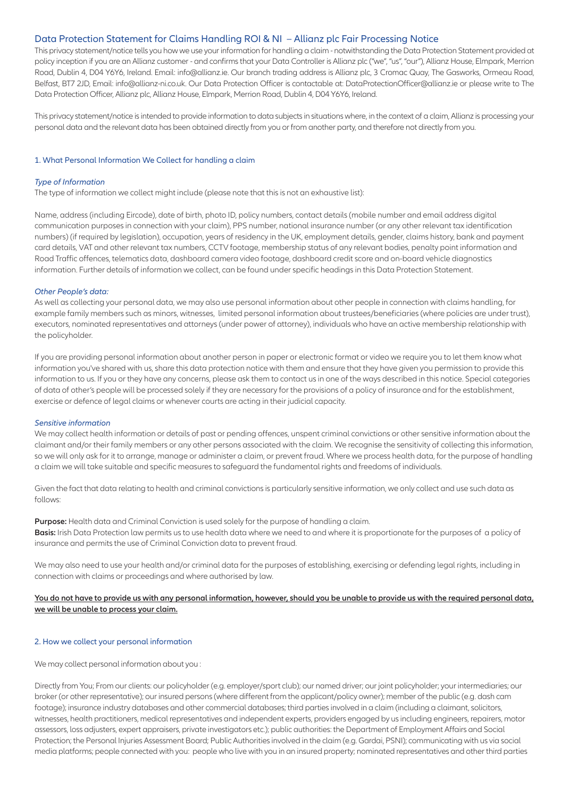#### Data Protection Statement for Claims Handling ROI & NI – Allianz plc Fair Processing Notice

This privacy statement/notice tells you how we use your information for handling a claim - notwithstanding the Data Protection Statement provided at policy inception if you are an Allianz customer - and confirms that your Data Controller is Allianz plc ("we", "us", "our"), Allianz House, Elmpark, Merrion Road, Dublin 4, D04 Y6Y6, Ireland. Email: info@allianz.ie. Our branch trading address is Allianz plc, 3 Cromac Quay, The Gasworks, Ormeau Road, Belfast, BT7 2JD, Email: info@allianz-ni.co.uk. Our Data Protection Officer is contactable at: DataProtectionOfficer@allianz.ie or please write to The Data Protection Officer, Allianz plc, Allianz House, Elmpark, Merrion Road, Dublin 4, D04 Y6Y6, Ireland.

This privacy statement/notice isintended to provide information to data subjectsin situations where, in the context of a claim, Allianz is processing your personal data and the relevant data has been obtained directly from you or from another party, and therefore not directly from you.

#### 1. What Personal Information We Collect for handling a claim

#### *Type of Information*

The type of information we collect might include (please note that this is not an exhaustive list):

Name, address(including Eircode), date of birth, photo ID, policy numbers, contact details(mobile number and email address digital communication purposesin connection with your claim), PPS number, national insurance number (or any other relevant tax identification numbers) (if required by legislation), occupation, years of residency in the UK, employment details, gender, claims history, bank and payment card details, VAT and other relevant tax numbers, CCTV footage, membership status of any relevant bodies, penalty point information and Road Traffic offences, telematics data, dashboard camera video footage, dashboard creditscore and on-board vehicle diagnostics information. Further details of information we collect, can be found under specific headings in this Data Protection Statement.

#### *Other People's data:*

As well as collecting your personal data, we may also use personal information about other people in connection with claims handling, for example family memberssuch as minors, witnesses, limited personal information about trustees/beneficiaries(where policies are under trust), executors, nominated representatives and attorneys(under power of attorney), individuals who have an active membership relationship with the policyholder.

If you are providing personal information about another person in paper or electronic format or video we require you to let them know what information you've shared with us, share this data protection notice with them and ensure that they have given you permission to provide this information to us. If you or they have any concerns, please ask them to contact usin one of the ways described in this notice. Special categories of data of other's people will be processed solely if they are necessary for the provisions of a policy of insurance and for the establishment, exercise or defence of legal claims or whenever courts are acting in their judicial capacity.

#### *Sensitive information*

We may collect health information or details of past or pending offences, unspent criminal convictions or other sensitive information about the claimant and/or their family members or any other persons associated with the claim. We recognise the sensitivity of collecting this information, so we will only ask for it to arrange, manage or administer a claim, or prevent fraud. Where we process health data, for the purpose of handling a claim we will take suitable and specific measuresto safeguard the fundamental rights and freedoms of individuals.

Given the fact that data relating to health and criminal convictions is particularly sensitive information, we only collect and use such data as follows:

**Purpose:** Health data and Criminal Conviction is used solely for the purpose of handling a claim. **Basis:** Irish Data Protection law permits usto use health data where we need to and where it is proportionate for the purposes of a policy of insurance and permits the use of Criminal Conviction data to prevent fraud.

We may also need to use your health and/or criminal data for the purposes of establishing, exercising or defending legal rights, including in connection with claims or proceedings and where authorised by law.

#### You do not have to provide us with any personal information, however, should you be unable to provide us with the required personal data, **we will be unable to process your claim.**

#### 2. How we collect your personal information

We may collect personal information about you :

Directly from You; From our clients: our policyholder (e.g. employer/sport club); our named driver; our joint policyholder; your intermediaries; our broker (or other representative); our insured persons(where different from the applicant/policy owner); member of the public (e.g. dash cam footage); insurance industry databases and other commercial databases; third partiesinvolved in a claim (including a claimant,solicitors, witnesses, health practitioners, medical representatives and independent experts, providers engaged by usincluding engineers, repairers, motor assessors, loss adjusters, expert appraisers, private investigators etc.); public authorities: the Department of Employment Affairs and Social Protection; the Personal Injuries Assessment Board; Public Authoritiesinvolved in the claim (e.g. Gardai, PSNI); communicating with us via social media platforms; people connected with you: people who live with you in an insured property; nominated representatives and other third parties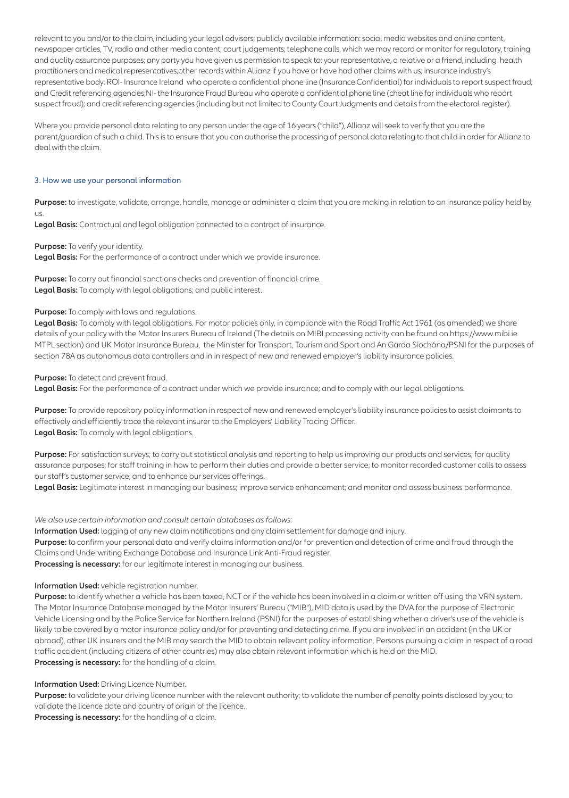relevant to you and/or to the claim, including your legal advisers; publicly available information:social media websites and online content, newspaper articles, TV, radio and other media content, court judgements; telephone calls, which we may record or monitor for regulatory, training and quality assurance purposes; any party you have given us permission to speak to: your representative, a relative or a friend, including health practitioners and medical representatives;other records within Allianz if you have or have had other claims with us; insurance industry's representative body: ROI- Insurance Ireland who operate a confidential phone line (Insurance Confidential) for individualsto reportsuspect fraud; and Credit referencing agencies;NI- the Insurance Fraud Bureau who operate a confidential phone line (cheat line for individuals who report suspect fraud); and credit referencing agencies (including but not limited to County Court Judgments and details from the electoral register).

Where you provide personal data relating to any person under the age of 16 years("child"), Allianz willseek to verify that you are the parent/guardian ofsuch a child. Thisisto ensure that you can authorise the processing of personal data relating to that child in order for Allianz to deal with the claim.

#### 3. How we use your personal information

**Purpose:** to investigate, validate, arrange, handle, manage or administer a claim that you are making in relation to an insurance policy held by us.

**Legal Basis:** Contractual and legal obligation connected to a contract of insurance.

**Purpose:** To verify your identity.

**Legal Basis:** For the performance of a contract under which we provide insurance.

Purpose: To carry out financial sanctions checks and prevention of financial crime. **Legal Basis:** To comply with legal obligations; and public interest.

#### **Purpose:** To comply with laws and regulations.

**Legal Basis:** To comply with legal obligations. For motor policies only, in compliance with the Road Traffic Act 1961 (as amended) we share details of your policy with the Motor Insurers Bureau of Ireland (The details on MIBI processing activity can be found on https://www.mibi.ie MTPL section) and UK Motor Insurance Bureau, the Minister for Transport, Tourism and Sport and An Garda Síochána/PSNI for the purposes of section 78A as autonomous data controllers and in in respect of new and renewed employer's liability insurance policies.

#### **Purpose:** To detect and prevent fraud.

**Legal Basis:** For the performance of a contract under which we provide insurance; and to comply with our legal obligations.

Purpose: To provide repository policy information in respect of new and renewed employer's liability insurance policies to assist claimants to effectively and efficiently trace the relevant insurer to the Employers' Liability Tracing Officer. **Legal Basis:** To comply with legal obligations.

Purpose: For satisfaction surveys; to carry out statistical analysis and reporting to help us improving our products and services; for quality assurance purposes; forstaff training in how to perform their duties and provide a betterservice; to monitor recorded customer callsto assess our staff's customer service; and to enhance our services offerings.

**Legal Basis:** Legitimate interest in managing our business; improve service enhancement; and monitor and assess business performance.

#### *We also use certain information and consult certain databases asfollows:*

**Information Used:** logging of any new claim notifications and any claim settlement for damage and injury. **Purpose:** to confirm your personal data and verify claimsinformation and/or for prevention and detection of crime and fraud through the Claims and Underwriting Exchange Database and Insurance Link Anti-Fraud register. **Processing is necessary:** for our legitimate interest in managing our business.

#### **Information Used:** vehicle registration number.

**Purpose:** to identify whether a vehicle has been taxed, NCT or if the vehicle has been involved in a claim or written off using the VRN system. The Motor Insurance Database managed by the Motor Insurers' Bureau ("MIB"), MID data is used by the DVA for the purpose of Electronic Vehicle Licensing and by the Police Service for Northern Ireland (PSNI) for the purposes of establishing whether a driver's use of the vehicle is likely to be covered by a motor insurance policy and/or for preventing and detecting crime. If you are involved in an accident (in the UK or abroad), other UK insurers and the MIB may search the MID to obtain relevant policy information. Persons pursuing a claim in respect of a road traffic accident (including citizens of other countries) may also obtain relevant information which is held on the MID. **Processing is necessary:** for the handling of a claim.

#### **Information Used:** Driving Licence Number.

**Purpose:** to validate your driving licence number with the relevant authority; to validate the number of penalty points disclosed by you; to validate the licence date and country of origin of the licence.

**Processing is necessary:** for the handling of a claim.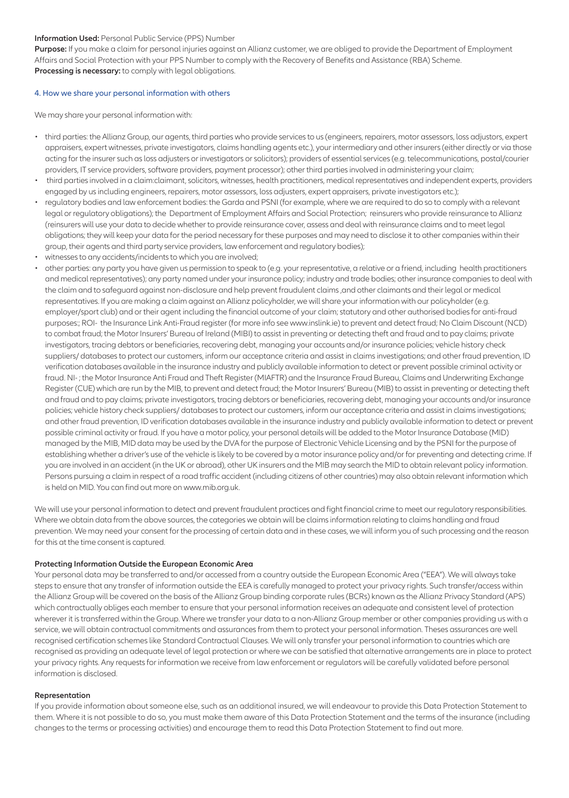#### **Information Used:** Personal Public Service (PPS) Number

**Purpose:** If you make a claim for personal injuries against an Allianz customer, we are obliged to provide the Department of Employment Affairs and Social Protection with your PPS Number to comply with the Recovery of Benefits and Assistance (RBA) Scheme. **Processing is necessary:** to comply with legal obligations.

#### 4. How we share your personal information with others

We may share your personal information with:

- third parties: the Allianz Group, our agents, third parties who provide servicesto us(engineers, repairers, motor assessors, loss adjustors, expert appraisers, expert witnesses, private investigators, claims handling agents etc.), your intermediary and other insurers(either directly or via those acting for the insurersuch asloss adjusters or investigators orsolicitors); providers of essentialservices(e.g. telecommunications, postal/courier providers, IT service providers, software providers, payment processor); other third parties involved in administering your claim;
- third partiesinvolved in a claim:claimant,solicitors, witnesses, health practitioners, medical representatives and independent experts, providers engaged by us including engineers, repairers, motor assessors, loss adjusters, expert appraisers, private investigators etc.);
- regulatory bodies and law enforcement bodies: the Garda and PSNI (for example, where we are required to do so to comply with a relevant legal or regulatory obligations); the Department of Employment Affairs and Social Protection; reinsurers who provide reinsurance to Allianz (reinsurers will use your data to decide whether to provide reinsurance cover, assess and deal with reinsurance claims and to meet legal obligations; they will keep your data for the period necessary for these purposes and may need to disclose it to other companies within their group, their agents and third party service providers, law enforcement and regulatory bodies);
- witnesses to any accidents/incidents to which you are involved;
- other parties: any party you have given us permission to speak to (e.g. your representative, a relative or a friend, including health practitioners and medical representatives); any party named under your insurance policy; industry and trade bodies; other insurance companiesto deal with the claim and to safeguard against non-disclosure and help prevent fraudulent claims,and other claimants and their legal or medical representatives. If you are making a claim against an Allianz policyholder, we willshare your information with our policyholder (e.g. employer/sport club) and or their agent including the financial outcome of your claim; statutory and other authorised bodies for anti-fraud purposes:; ROI- the Insurance Link Anti-Fraud register (for more info see www.inslink.ie) to prevent and detect fraud; No Claim Discount (NCD) to combat fraud; the Motor Insurers' Bureau of Ireland (MIBI) to assist in preventing or detecting theft and fraud and to pay claims; private investigators, tracing debtors or beneficiaries, recovering debt, managing your accounts and/or insurance policies; vehicle history check suppliers/ databasesto protect our customers, inform our acceptance criteria and assist in claimsinvestigations; and other fraud prevention, ID verification databases available in the insurance industry and publicly available information to detect or prevent possible criminal activity or fraud. NI- ; the Motor Insurance Anti Fraud and Theft Register (MIAFTR) and the Insurance Fraud Bureau, Claims and Underwriting Exchange Register (CUE) which are run by the MIB, to prevent and detect fraud; the Motor Insurers' Bureau (MIB) to assist in preventing or detecting theft and fraud and to pay claims; private investigators, tracing debtors or beneficiaries, recovering debt, managing your accounts and/or insurance policies; vehicle history check suppliers/ databases to protect our customers, inform our acceptance criteria and assist in claims investigations; and other fraud prevention, ID verification databases available in the insurance industry and publicly available information to detect or prevent possible criminal activity or fraud. If you have a motor policy, your personal details will be added to the Motor Insurance Database (MID) managed by the MIB, MID data may be used by the DVA for the purpose of Electronic Vehicle Licensing and by the PSNI for the purpose of establishing whether a driver's use of the vehicle islikely to be covered by a motor insurance policy and/or for preventing and detecting crime. If you are involved in an accident (in the UK or abroad), other UK insurers and the MIB may search the MID to obtain relevant policy information. Persons pursuing a claim in respect of a road traffic accident (including citizens of other countries) may also obtain relevant information which is held on MID. You can find out more on www.mib.org.uk.

We will use your personal information to detect and prevent fraudulent practices and fight financial crime to meet our regulatory responsibilities. Where we obtain data from the above sources, the categories we obtain will be claims information relating to claims handling and fraud prevention. We may need your consent for the processing of certain data and in these cases, we will inform you ofsuch processing and the reason for this at the time consent is captured.

#### **Protecting Information Outside the European Economic Area**

Your personal data may be transferred to and/or accessed from a country outside the European Economic Area ("EEA"). We will alwaystake steps to ensure that any transfer of information outside the EEA is carefully managed to protect your privacy rights. Such transfer/access within the Allianz Group will be covered on the basis of the Allianz Group binding corporate rules(BCRs) known asthe Allianz Privacy Standard (APS) which contractually obliges each member to ensure that your personal information receives an adequate and consistent level of protection wherever it istransferred within the Group. Where we transfer your data to a non-Allianz Group member or other companies providing us with a service, we will obtain contractual commitments and assurances from them to protect your personal information. Theses assurances are well recognised certification schemeslike Standard Contractual Clauses. We will only transfer your personal information to countries which are recognised as providing an adequate level of legal protection or where we can be satisfied that alternative arrangements are in place to protect your privacy rights. Any requestsfor information we receive from law enforcement or regulators will be carefully validated before personal information is disclosed.

#### **Representation**

If you provide information about someone else, such as an additional insured, we will endeavour to provide this Data Protection Statement to them. Where it is not possible to do so, you must make them aware of this Data Protection Statement and the terms of the insurance (including changesto the terms or processing activities) and encourage them to read this Data Protection Statement to find out more.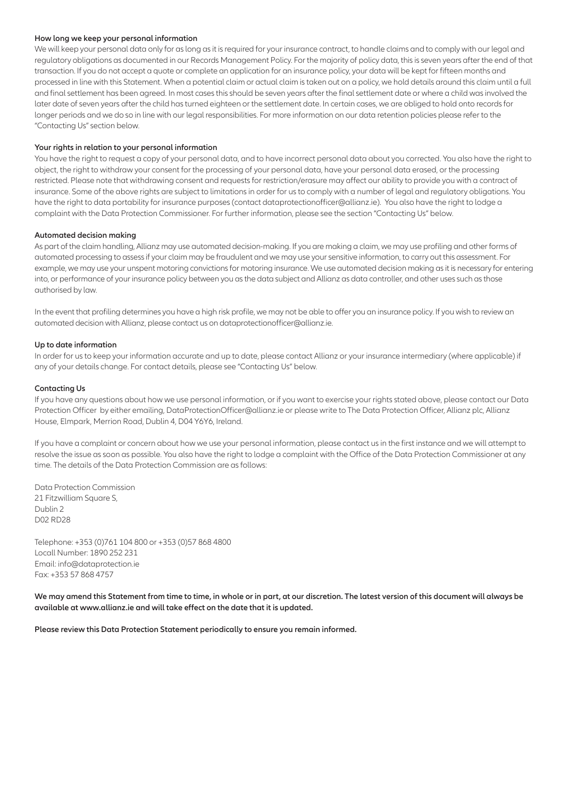#### **How long we keep your personal information**

We will keep your personal data only for as long as it is required for your insurance contract, to handle claims and to comply with our legal and regulatory obligations as documented in our Records Management Policy. For the majority of policy data, thisisseven years after the end of that transaction. If you do not accept a quote or complete an application for an insurance policy, your data will be kept for fifteen months and processed in line with this Statement. When a potential claim or actual claim istaken out on a policy, we hold details around this claim until a full and final settlement has been agreed. In most cases this should be seven years after the final settlement date or where a child was involved the later date of seven years after the child has turned eighteen or the settlement date. In certain cases, we are obliged to hold onto records for longer periods and we do so in line with our legal responsibilities. For more information on our data retention policies please refer to the "Contacting Us"section below.

#### **Your rights in relation to your personal information**

You have the right to request a copy of your personal data, and to have incorrect personal data about you corrected. You also have the right to object, the right to withdraw your consent for the processing of your personal data, have your personal data erased, or the processing restricted. Please note that withdrawing consent and requests for restriction/erasure may affect our ability to provide you with a contract of insurance. Some of the above rights are subject to limitations in order for us to comply with a number of legal and regulatory obligations. You have the right to data portability for insurance purposes(contact dataprotectionofficer@allianz.ie). You also have the right to lodge a complaint with the Data Protection Commissioner. For further information, please see the section "Contacting Us" below.

#### **Automated decision making**

As part of the claim handling, Allianz may use automated decision-making. If you are making a claim, we may use profiling and other forms of automated processing to assessif your claim may be fraudulent and we may use yoursensitive information, to carry out this assessment. For example, we may use your unspent motoring convictions for motoring insurance. We use automated decision making as it is necessary for entering into, or performance of your insurance policy between you asthe data subject and Allianz as data controller, and other usessuch asthose authorised by law.

In the event that profiling determines you have a high risk profile, we may not be able to offer you an insurance policy. If you wish to review an automated decision with Allianz, please contact us on dataprotectionofficer@allianz.ie.

#### **Up to date information**

In order for usto keep your information accurate and up to date, please contact Allianz or your insurance intermediary (where applicable) if any of your details change. For contact details, please see "Contacting Us" below.

#### **Contacting Us**

If you have any questions about how we use personal information, or if you want to exercise your rightsstated above, please contact our Data Protection Officer by either emailing, DataProtectionOfficer@allianz.ie or please write to The Data Protection Officer, Allianz plc, Allianz House, Elmpark, Merrion Road, Dublin 4, D04 Y6Y6, Ireland.

If you have a complaint or concern about how we use your personal information, please contact usin the first instance and we will attempt to resolve the issue assoon as possible. You also have the right to lodge a complaint with the Office of the Data Protection Commissioner at any time. The details of the Data Protection Commission are as follows:

Data Protection Commission 21 Fitzwilliam Square S. Dublin 2 D02 RD28

Telephone: +353 (0)761 104 800 or +353 (0)57 868 4800 Locall Number: 1890 252 231 Email: info@dataprotection.ie Fax: +353 57 868 4757

We may amend this Statement from time to time, in whole or in part, at our discretion. The latest version of this document will always be **available at www.allianz.ie and will take effect on the date that it is updated.**

**Please review this Data Protection Statement periodically to ensure you remain informed.**